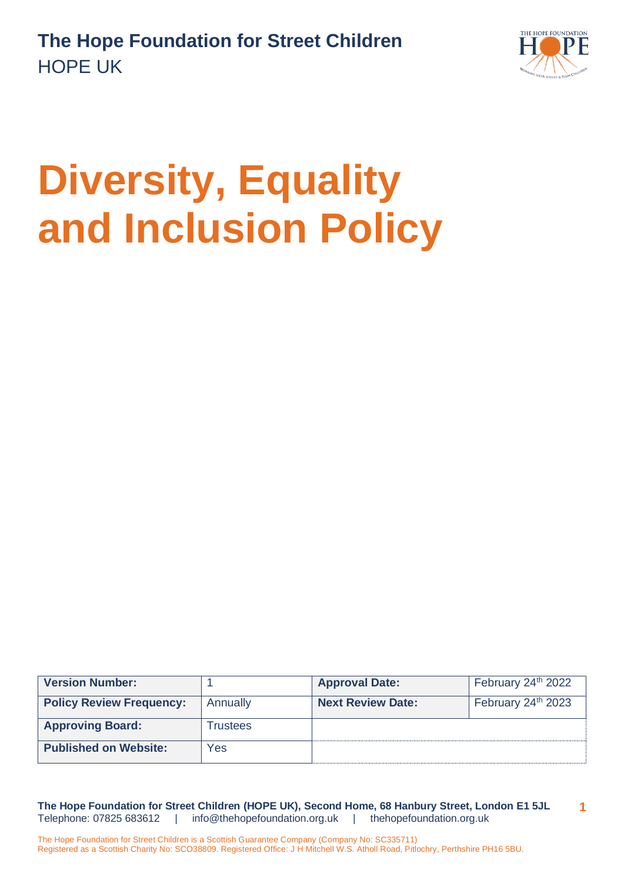

# **Diversity, Equality and Inclusion Policy**

| <b>Version Number:</b>          |          | <b>Approval Date:</b>    | February 24 <sup>th</sup> 2022 |
|---------------------------------|----------|--------------------------|--------------------------------|
| <b>Policy Review Frequency:</b> | Annually | <b>Next Review Date:</b> | February 24 <sup>th</sup> 2023 |
| <b>Approving Board:</b>         | Trustees |                          |                                |
| <b>Published on Website:</b>    | Yes      |                          |                                |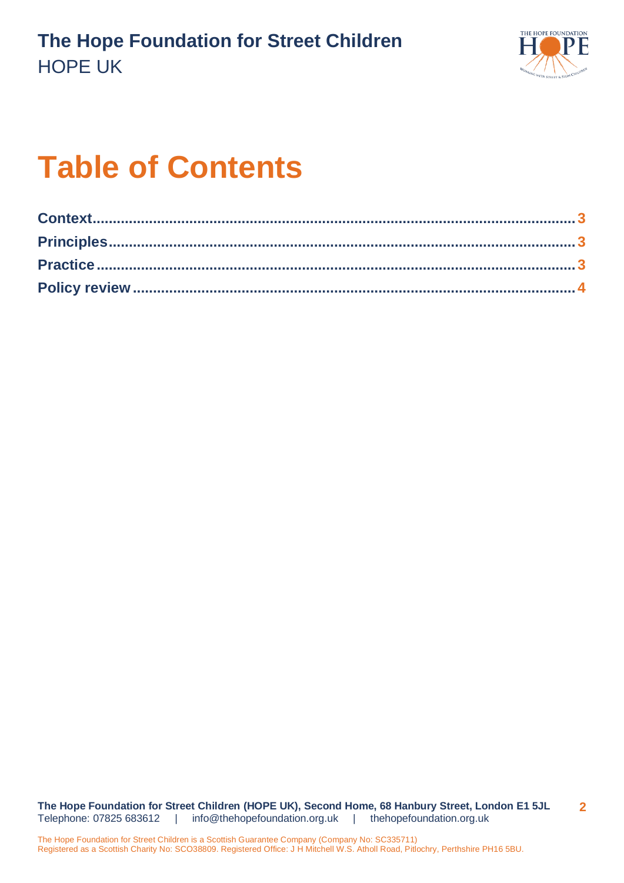

# **Table of Contents**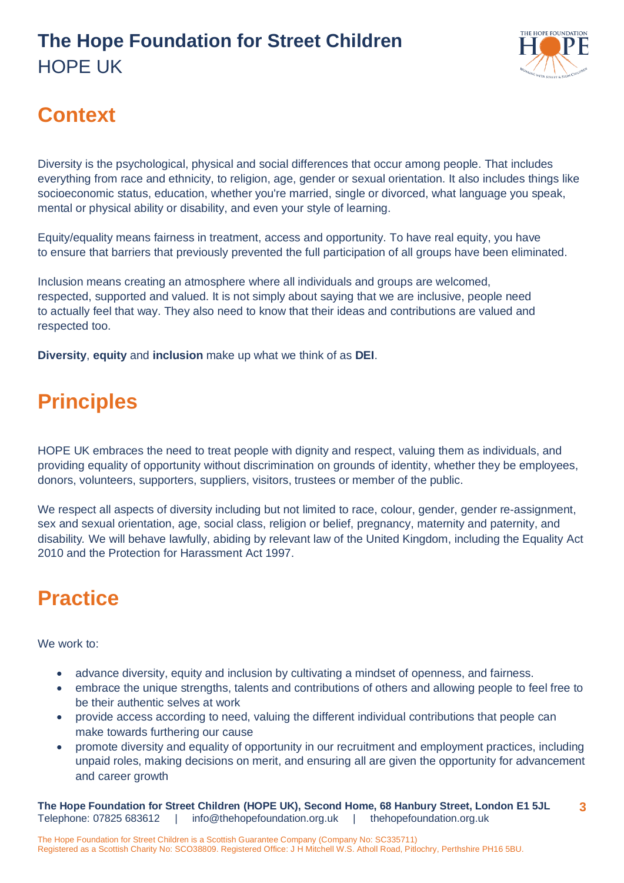#### **The Hope Foundation for Street Children** HOPE UK



# <span id="page-2-0"></span>**Context**

Diversity is the psychological, physical and social differences that occur among people. That includes everything from race and ethnicity, to religion, age, gender or sexual orientation. It also includes things like socioeconomic status, education, whether you're married, single or divorced, what language you speak, mental or physical ability or disability, and even your style of learning.

Equity/equality means fairness in treatment, access and opportunity. To have real equity, you have to ensure that barriers that previously prevented the full participation of all groups have been eliminated.

Inclusion means creating an atmosphere where all individuals and groups are welcomed, respected, supported and valued. It is not simply about saying that we are inclusive, people need to actually feel that way. They also need to know that their ideas and contributions are valued and respected too.

**Diversity**, **equity** and **inclusion** make up what we think of as **DEI**.

# <span id="page-2-1"></span>**Principles**

HOPE UK embraces the need to treat people with dignity and respect, valuing them as individuals, and providing equality of opportunity without discrimination on grounds of identity, whether they be employees, donors, volunteers, supporters, suppliers, visitors, trustees or member of the public.

We respect all aspects of diversity including but not limited to race, colour, gender, gender re-assignment, sex and sexual orientation, age, social class, religion or belief, pregnancy, maternity and paternity, and disability*.* We will behave lawfully, abiding by relevant law of the United Kingdom, including the Equality Act 2010 and the Protection for Harassment Act 1997.

# <span id="page-2-2"></span>**Practice**

We work to:

- advance diversity, equity and inclusion by cultivating a mindset of openness, and fairness.
- embrace the unique strengths, talents and contributions of others and allowing people to feel free to be their authentic selves at work
- provide access according to need, valuing the different individual contributions that people can make towards furthering our cause
- promote diversity and equality of opportunity in our recruitment and employment practices, including unpaid roles, making decisions on merit, and ensuring all are given the opportunity for advancement and career growth